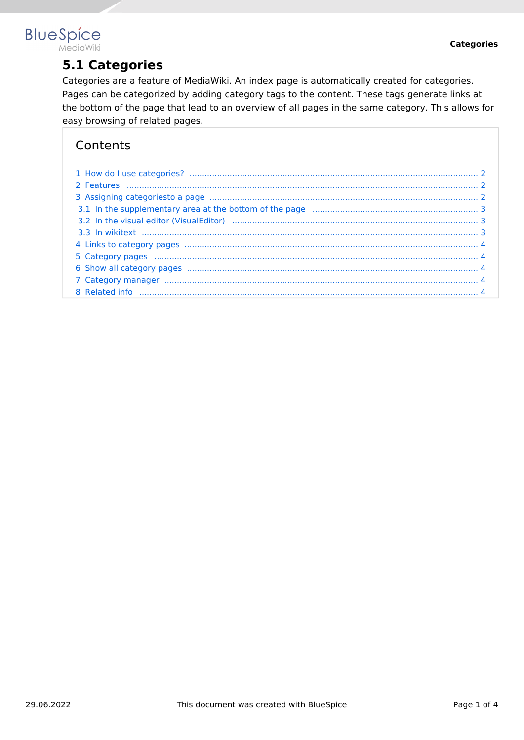#### **BlueSpice** MediaWiki

**5.1 Categories**

Categories are a feature of MediaWiki. An index page is automatically created for categories. Pages can be categorized by adding category tags to the content. These tags generate links at the bottom of the page that lead to an overview of all pages in the same category. This allows for easy browsing of related pages.

## **Contents**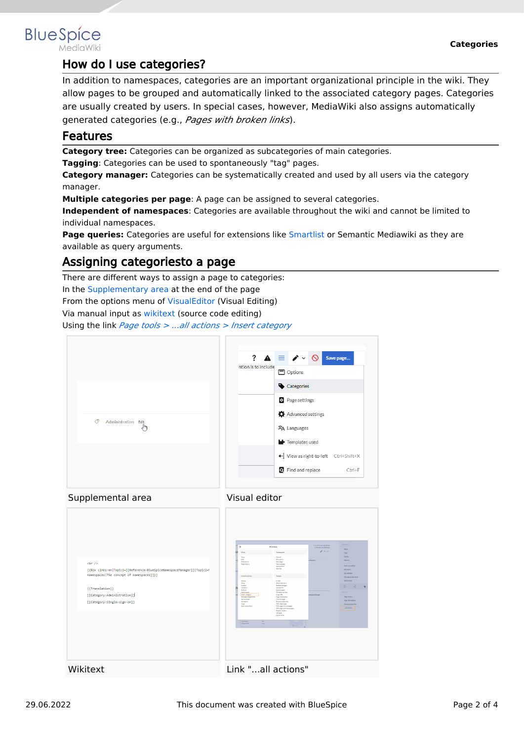

## <span id="page-1-0"></span>**BlueSpice**

### How do I use categories?

In addition to namespaces, categories are an important organizational principle in the wiki. They allow pages to be grouped and automatically linked to the associated category pages. Categories are usually created by users. In special cases, however, MediaWiki also assigns automatically generated categories (e.g., *Pages with broken links*).

#### <span id="page-1-1"></span>Features

**Category tree:** Categories can be organized as subcategories of main categories.

**Tagging**: Categories can be used to spontaneously "tag" pages.

**Category manager:** Categories can be systematically created and used by all users via the category manager.

**Multiple categories per page**: A page can be assigned to several categories.

**Independent of namespaces**: Categories are available throughout the wiki and cannot be limited to individual namespaces.

**Page queries:** Categories are useful for extensions like [Smartlist](https://en.wiki.bluespice.com/wiki/Manual:Extension/BlueSpiceSmartList) or Semantic Mediawiki as they are available as query arguments.

### <span id="page-1-2"></span>Assigning categoriesto a page

There are different ways to assign a page to categories:

In the [Supplementary area](https://en.wiki.bluespice.com/wiki/Manual:Extension/BlueSpiceDiscovery#Supplementary_area) at the end of the page

From the options menu of [VisualEditor](https://en.wiki.bluespice.com/wiki/Manual:Extension/VisualEditor) (Visual Editing)

Via manual input as [wikitext](https://en.wiki.bluespice.com/wiki/Manual:Wikitext) (source code editing)

Using the link *[Page tools > ...all actions > Insert category](https://en.wiki.bluespice.com/wiki/Manual:Extension/BlueSpiceDiscovery#Page_tools)*





| $\text{ch}$ /><br>{{Box Links-en Topic1=[[Reference:BlueSpiceNamespaceManager]] Topic2=h<br>namespaces The concept of namespaces [1]}}<br>{{Translation}}<br>[[Category:Administration]]<br>[[Category:Single-sign-on]] | $\times$<br>All actions<br>Namespaces<br>Views<br>View<br>Matual<br>Edit<br>Discussion<br>Editsource<br>Newpage<br>Page Matory<br>Newsubower<br>Newsection<br>Newfile<br>Toylor.<br>Content actions<br>EMail<br>Delete<br>Mon<br>Wattinishere<br>Protect<br><b>Related changes</b><br>Unwatch<br>Upload file<br>Refresh<br>Special coates<br>Add to book<br>Printsblevenice<br>Intert category<br>Copy LR1<br>Page information<br>Set page applicaments<br>Set reminder<br>Cost this page<br>Set expiry<br>Drawne properties<br>Copy<br>PDF single page<br>Stert a workflow<br>PDF poet with subpages<br>PDF poet with linked pages<br>Display readers<br>QR code<br>Export book<br><b>International</b><br>Sex.<br><b>Nonner</b> (N)<br><b>Sharp</b><br>$\mathbb{R}$ | ACTIONS:<br>List edited and month and<br>by Margit Link Bodrigue<br>Move<br>$\mathcal{L} = 0$<br>Capy<br>Driver<br><b>Between</b><br>negaces.<br><b>Start a worldfield</b><br>Set palicy<br>Set reninder<br>Set page assignments<br>Add to book<br>$\Box$<br>æ<br><b>OTTAGE</b><br>инергеймарк<br>Page Nistary<br>Page Information<br><b>Browse properties</b><br>LaTactions |
|-------------------------------------------------------------------------------------------------------------------------------------------------------------------------------------------------------------------------|-----------------------------------------------------------------------------------------------------------------------------------------------------------------------------------------------------------------------------------------------------------------------------------------------------------------------------------------------------------------------------------------------------------------------------------------------------------------------------------------------------------------------------------------------------------------------------------------------------------------------------------------------------------------------------------------------------------------------------------------------------------------------|------------------------------------------------------------------------------------------------------------------------------------------------------------------------------------------------------------------------------------------------------------------------------------------------------------------------------------------------------------------------------|
| Wikitext                                                                                                                                                                                                                | Link "all actions"                                                                                                                                                                                                                                                                                                                                                                                                                                                                                                                                                                                                                                                                                                                                                    |                                                                                                                                                                                                                                                                                                                                                                              |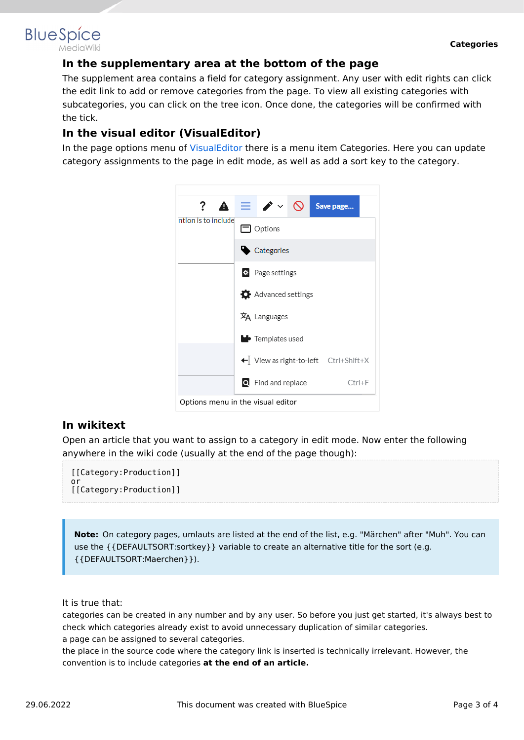# <span id="page-2-0"></span>**BlueSpice**

#### **In the supplementary area at the bottom of the page**

The supplement area contains a field for category assignment. Any user with edit rights can click the edit link to add or remove categories from the page. To view all existing categories with subcategories, you can click on the tree icon. Once done, the categories will be confirmed with the tick.

#### <span id="page-2-1"></span>**In the visual editor (VisualEditor)**

In the page options menu of [VisualEditor](https://en.wiki.bluespice.com/wiki/Manual:Extension/VisualEditor) there is a menu item Categories. Here you can update category assignments to the page in edit mode, as well as add a sort key to the category.



#### <span id="page-2-2"></span>**In wikitext**

Open an article that you want to assign to a category in edit mode. Now enter the following anywhere in the wiki code (usually at the end of the page though):

```
[[Category:Production]]
or
[[Category:Production]]
```
**Note:** On category pages, umlauts are listed at the end of the list, e.g. "Märchen" after "Muh". You can use the {{DEFAULTSORT:sortkey}} variable to create an alternative title for the sort (e.g. {{DEFAULTSORT:Maerchen}}).

It is true that:

categories can be created in any number and by any user. So before you just get started, it's always best to check which categories already exist to avoid unnecessary duplication of similar categories. a page can be assigned to several categories.

the place in the source code where the category link is inserted is technically irrelevant. However, the convention is to include categories **at the end of an article.**